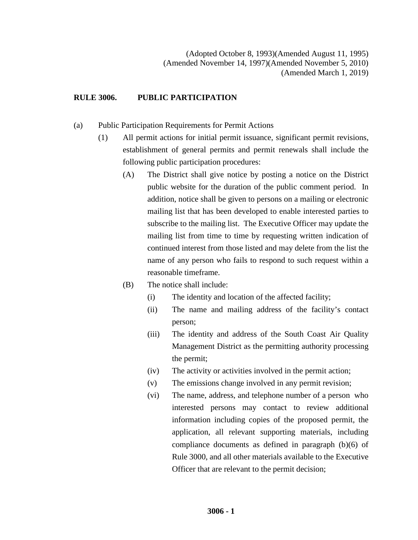## **RULE 3006. PUBLIC PARTICIPATION**

- (a) Public Participation Requirements for Permit Actions
	- (1) All permit actions for initial permit issuance, significant permit revisions, establishment of general permits and permit renewals shall include the following public participation procedures:
		- (A) The District shall give notice by posting a notice on the District public website for the duration of the public comment period. In addition, notice shall be given to persons on a mailing or electronic mailing list that has been developed to enable interested parties to subscribe to the mailing list. The Executive Officer may update the mailing list from time to time by requesting written indication of continued interest from those listed and may delete from the list the name of any person who fails to respond to such request within a reasonable timeframe.
		- (B) The notice shall include:
			- (i) The identity and location of the affected facility;
			- (ii) The name and mailing address of the facility's contact person;
			- (iii) The identity and address of the South Coast Air Quality Management District as the permitting authority processing the permit;
			- (iv) The activity or activities involved in the permit action;
			- (v) The emissions change involved in any permit revision;
			- (vi) The name, address, and telephone number of a person who interested persons may contact to review additional information including copies of the proposed permit, the application, all relevant supporting materials, including compliance documents as defined in paragraph (b)(6) of Rule 3000, and all other materials available to the Executive Officer that are relevant to the permit decision;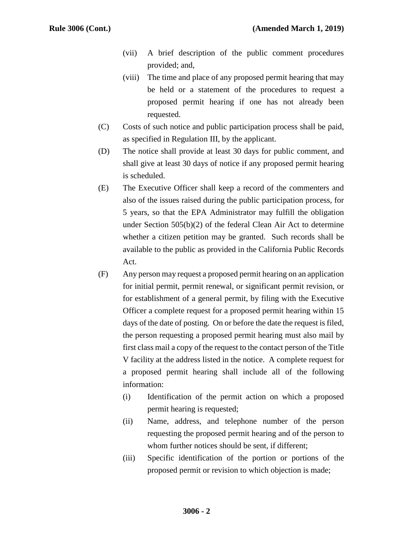- (vii) A brief description of the public comment procedures provided; and,
- (viii) The time and place of any proposed permit hearing that may be held or a statement of the procedures to request a proposed permit hearing if one has not already been requested.
- (C) Costs of such notice and public participation process shall be paid, as specified in Regulation III, by the applicant.
- (D) The notice shall provide at least 30 days for public comment, and shall give at least 30 days of notice if any proposed permit hearing is scheduled.
- (E) The Executive Officer shall keep a record of the commenters and also of the issues raised during the public participation process, for 5 years, so that the EPA Administrator may fulfill the obligation under Section 505(b)(2) of the federal Clean Air Act to determine whether a citizen petition may be granted. Such records shall be available to the public as provided in the California Public Records Act.
- (F) Any person may request a proposed permit hearing on an application for initial permit, permit renewal, or significant permit revision, or for establishment of a general permit, by filing with the Executive Officer a complete request for a proposed permit hearing within 15 days of the date of posting. On or before the date the request is filed, the person requesting a proposed permit hearing must also mail by first class mail a copy of the request to the contact person of the Title V facility at the address listed in the notice. A complete request for a proposed permit hearing shall include all of the following information:
	- (i) Identification of the permit action on which a proposed permit hearing is requested;
	- (ii) Name, address, and telephone number of the person requesting the proposed permit hearing and of the person to whom further notices should be sent, if different;
	- (iii) Specific identification of the portion or portions of the proposed permit or revision to which objection is made;